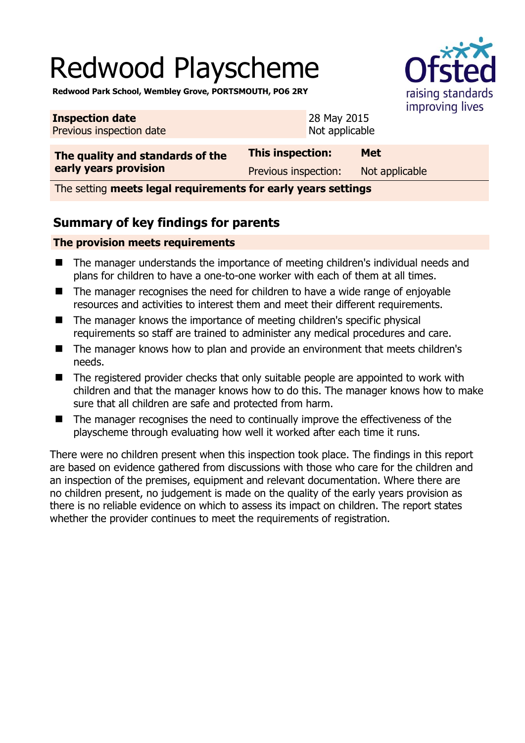# Redwood Playscheme



**Redwood Park School, Wembley Grove, PORTSMOUTH, PO6 2RY** 

| <b>Inspection date</b><br>Previous inspection date | 28 May 2015<br>Not applicable | $$ p $$ p $$   |
|----------------------------------------------------|-------------------------------|----------------|
| The quality and standards of the                   | This inspection:              | <b>Met</b>     |
| early years provision                              | Previous inspection:          | Not applicable |

The setting **meets legal requirements for early years settings**

## **Summary of key findings for parents**

#### **The provision meets requirements**

- The manager understands the importance of meeting children's individual needs and plans for children to have a one-to-one worker with each of them at all times.
- The manager recognises the need for children to have a wide range of enjoyable resources and activities to interest them and meet their different requirements.
- The manager knows the importance of meeting children's specific physical requirements so staff are trained to administer any medical procedures and care.
- The manager knows how to plan and provide an environment that meets children's needs.
- The registered provider checks that only suitable people are appointed to work with children and that the manager knows how to do this. The manager knows how to make sure that all children are safe and protected from harm.
- The manager recognises the need to continually improve the effectiveness of the playscheme through evaluating how well it worked after each time it runs.

There were no children present when this inspection took place. The findings in this report are based on evidence gathered from discussions with those who care for the children and an inspection of the premises, equipment and relevant documentation. Where there are no children present, no judgement is made on the quality of the early years provision as there is no reliable evidence on which to assess its impact on children. The report states whether the provider continues to meet the requirements of registration.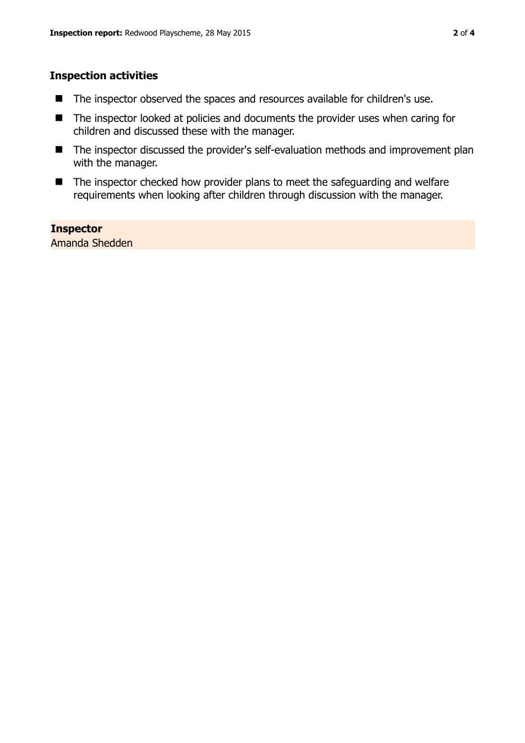#### **Inspection activities**

- The inspector observed the spaces and resources available for children's use.
- The inspector looked at policies and documents the provider uses when caring for children and discussed these with the manager.
- The inspector discussed the provider's self-evaluation methods and improvement plan with the manager.
- The inspector checked how provider plans to meet the safeguarding and welfare requirements when looking after children through discussion with the manager.

## **Inspector**

Amanda Shedden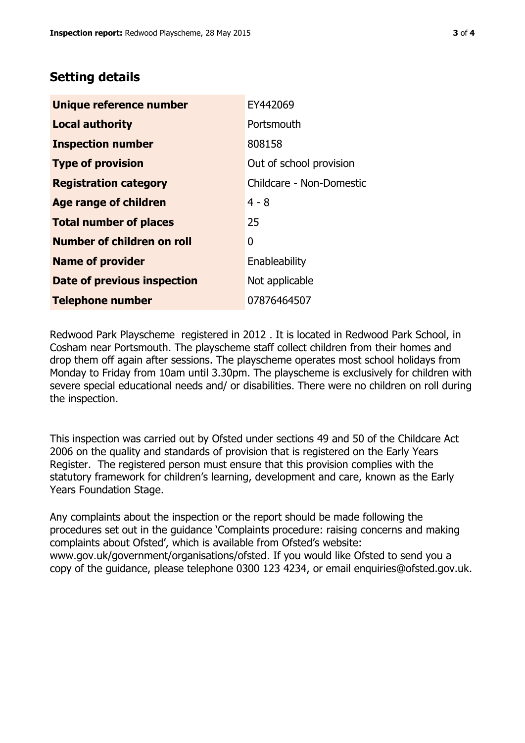## **Setting details**

| Unique reference number                             | EY442069                 |
|-----------------------------------------------------|--------------------------|
| <b>Local authority</b>                              | Portsmouth               |
| <b>Inspection number</b>                            | 808158                   |
| Out of school provision<br><b>Type of provision</b> |                          |
| <b>Registration category</b>                        | Childcare - Non-Domestic |
| Age range of children                               | $4 - 8$                  |
| <b>Total number of places</b>                       | 25                       |
| Number of children on roll                          | 0                        |
| <b>Name of provider</b>                             | Enableability            |
| Date of previous inspection                         | Not applicable           |
| <b>Telephone number</b>                             | 07876464507              |

Redwood Park Playscheme registered in 2012 . It is located in Redwood Park School, in Cosham near Portsmouth. The playscheme staff collect children from their homes and drop them off again after sessions. The playscheme operates most school holidays from Monday to Friday from 10am until 3.30pm. The playscheme is exclusively for children with severe special educational needs and/ or disabilities. There were no children on roll during the inspection.

This inspection was carried out by Ofsted under sections 49 and 50 of the Childcare Act 2006 on the quality and standards of provision that is registered on the Early Years Register. The registered person must ensure that this provision complies with the statutory framework for children's learning, development and care, known as the Early Years Foundation Stage.

Any complaints about the inspection or the report should be made following the procedures set out in the guidance 'Complaints procedure: raising concerns and making complaints about Ofsted', which is available from Ofsted's website: www.gov.uk/government/organisations/ofsted. If you would like Ofsted to send you a copy of the guidance, please telephone 0300 123 4234, or email enquiries@ofsted.gov.uk.